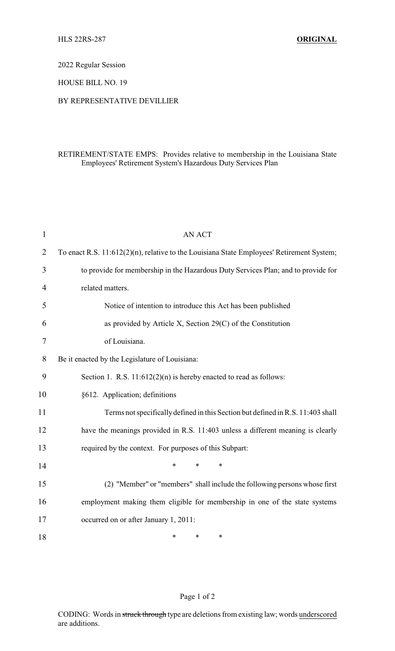2022 Regular Session

HOUSE BILL NO. 19

## BY REPRESENTATIVE DEVILLIER

## RETIREMENT/STATE EMPS: Provides relative to membership in the Louisiana State Employees' Retirement System's Hazardous Duty Services Plan

| $\mathbf{1}$   | <b>AN ACT</b>                                                                             |
|----------------|-------------------------------------------------------------------------------------------|
| $\overline{2}$ | To enact R.S. 11:612(2)(n), relative to the Louisiana State Employees' Retirement System; |
| 3              | to provide for membership in the Hazardous Duty Services Plan; and to provide for         |
| $\overline{4}$ | related matters.                                                                          |
| 5              | Notice of intention to introduce this Act has been published                              |
| 6              | as provided by Article X, Section 29(C) of the Constitution                               |
| 7              | of Louisiana.                                                                             |
| 8              | Be it enacted by the Legislature of Louisiana:                                            |
| 9              | Section 1. R.S. $11:612(2)(n)$ is hereby enacted to read as follows:                      |
| 10             | §612. Application; definitions                                                            |
| 11             | Terms not specifically defined in this Section but defined in R.S. 11:403 shall           |
| 12             | have the meanings provided in R.S. 11:403 unless a different meaning is clearly           |
| 13             | required by the context. For purposes of this Subpart:                                    |
| 14             | $\ast$<br>$\ast$<br>$\ast$                                                                |
| 15             | (2) "Member" or "members" shall include the following persons whose first                 |
| 16             | employment making them eligible for membership in one of the state systems                |
| 17             | occurred on or after January 1, 2011:                                                     |
| 18             | *<br>$\ast$<br>∗                                                                          |

## Page 1 of 2